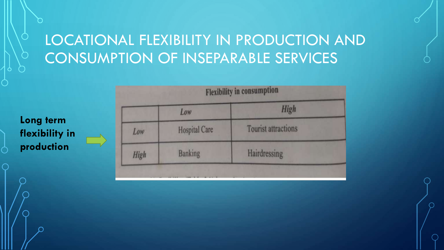# LOCATIONAL FLEXIBILITY IN PRODUCTION AND CONSUMPTION OF INSEPARABLE SERVICES

**Long term flexibility in production**

|             | Low                  | <b>High</b>                |
|-------------|----------------------|----------------------------|
| Low         | <b>Hospital Care</b> | <b>Tourist attractions</b> |
| <b>High</b> | <b>Banking</b>       | Hairdressing               |

a utter in consumption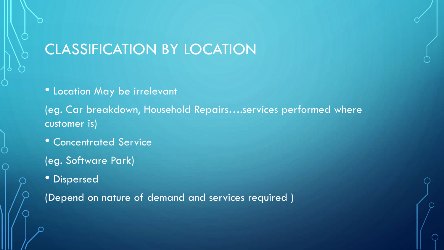## CLASSIFICATION BY LOCATION

• Location May be irrelevant

(eg. Car breakdown, Household Repairs….services performed where customer is)

- **Concentrated Service**
- (eg. Software Park)
- Dispersed

(Depend on nature of demand and services required )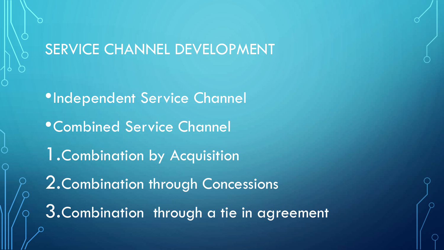### SERVICE CHANNEL DEVELOPMENT

•Independent Service Channel •Combined Service Channel 1.Combination by Acquisition 2.Combination through Concessions 3.Combination through a tie in agreement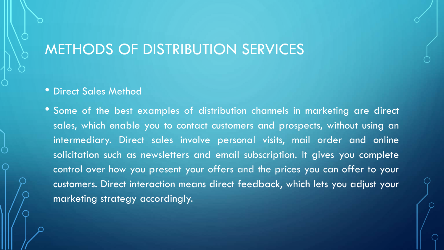### METHODS OF DISTRIBUTION SERVICES

### • Direct Sales Method

• Some of the best examples of distribution channels in marketing are direct sales, which enable you to contact customers and prospects, without using an intermediary. Direct sales involve personal visits, mail order and online solicitation such as newsletters and email subscription. It gives you complete control over how you present your offers and the prices you can offer to your customers. Direct interaction means direct feedback, which lets you adjust your marketing strategy accordingly.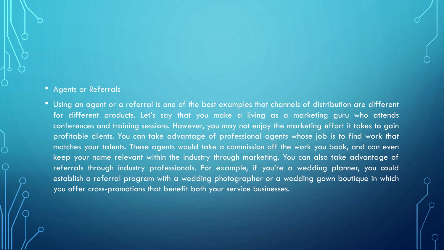### • Agents or Referrals

• Using an agent or a referral is one of the best examples that channels of distribution are different for different products. Let's say that you make a living as a marketing guru who attends conferences and training sessions. However, you may not enjoy the marketing effort it takes to gain profitable clients. You can take advantage of professional agents whose job is to find work that matches your talents. These agents would take a commission off the work you book, and can even keep your name relevant within the industry through marketing. You can also take advantage of referrals through industry professionals. For example, if you're a wedding planner, you could establish a referral program with a wedding photographer or a wedding gown boutique in which you offer cross-promotions that benefit both your service businesses.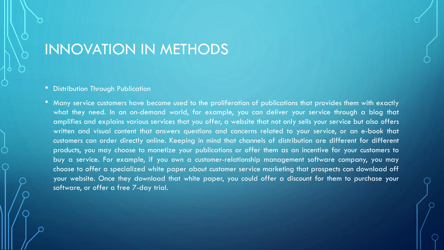### INNOVATION IN METHODS

#### • Distribution Through Publication

• Many service customers have become used to the proliferation of publications that provides them with exactly what they need. In an on-demand world, for example, you can deliver your service through a blog that amplifies and explains various services that you offer, a website that not only sells your service but also offers written and visual content that answers questions and concerns related to your service, or an e-book that customers can order directly online. Keeping in mind that channels of distribution are different for different products, you may choose to monetize your publications or offer them as an incentive for your customers to buy a service. For example, if you own a customer-relationship management software company, you may choose to offer a specialized white paper about customer service marketing that prospects can download off your website. Once they download that white paper, you could offer a discount for them to purchase your software, or offer a free 7-day trial.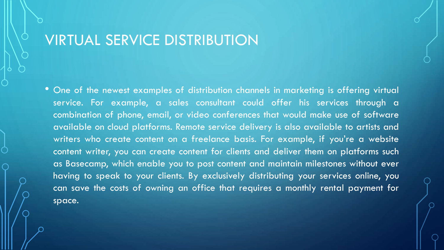### VIRTUAL SERVICE DISTRIBUTION

• One of the newest examples of distribution channels in marketing is offering virtual service. For example, a sales consultant could offer his services through a combination of phone, email, or video conferences that would make use of software available on cloud platforms. Remote service delivery is also available to artists and writers who create content on a freelance basis. For example, if you're a website content writer, you can create content for clients and deliver them on platforms such as Basecamp, which enable you to post content and maintain milestones without ever having to speak to your clients. By exclusively distributing your services online, you can save the costs of owning an office that requires a monthly rental payment for space.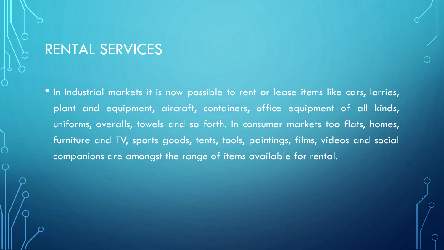### RENTAL SERVICES

• In Industrial markets it is now possible to rent or lease items like cars, lorries, plant and equipment, aircraft, containers, office equipment of all kinds, uniforms, overalls, towels and so forth. In consumer markets too flats, homes, furniture and TV, sports goods, tents, tools, paintings, films, videos and social companions are amongst the range of items available for rental.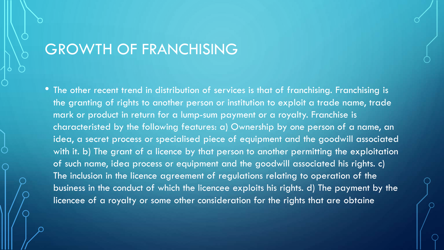### GROWTH OF FRANCHISING

• The other recent trend in distribution of services is that of franchising. Franchising is the granting of rights to another person or institution to exploit a trade name, trade mark or product in return for a lump-sum payment or a royalty. Franchise is characteristed by the following features: a) Ownership by one person of a name, an idea, a secret process or specialised piece of equipment and the goodwill associated with it. b) The grant of a licence by that person to another permitting the exploitation of such name, idea process or equipment and the goodwill associated his rights. c) The inclusion in the licence agreement of regulations relating to operation of the business in the conduct of which the licencee exploits his rights. d) The payment by the licencee of a royalty or some other consideration for the rights that are obtaine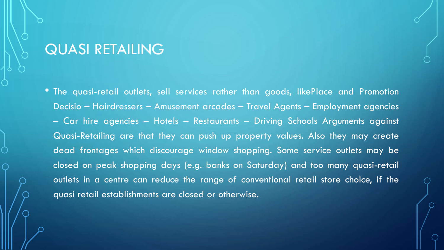### QUASI RETAILING

• The quasi-retail outlets, sell services rather than goods, likePlace and Promotion Decisio – Hairdressers – Amusement arcades – Travel Agents – Employment agencies – Car hire agencies – Hotels – Restaurants – Driving Schools Arguments against Quasi-Retailing are that they can push up property values. Also they may create dead frontages which discourage window shopping. Some service outlets may be closed on peak shopping days (e.g. banks on Saturday) and too many quasi-retail outlets in a centre can reduce the range of conventional retail store choice, if the quasi retail establishments are closed or otherwise.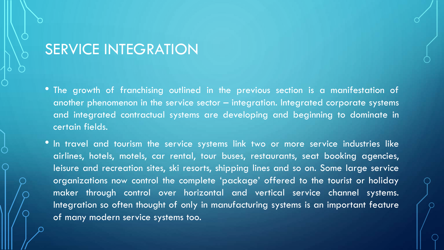### SERVICE INTEGRATION

- The growth of franchising outlined in the previous section is a manifestation of another phenomenon in the service sector – integration. Integrated corporate systems and integrated contractual systems are developing and beginning to dominate in certain fields.
- In travel and tourism the service systems link two or more service industries like airlines, hotels, motels, car rental, tour buses, restaurants, seat booking agencies, leisure and recreation sites, ski resorts, shipping lines and so on. Some large service organizations now control the complete 'package' offered to the tourist or holiday maker through control over horizontal and vertical service channel systems. Integration so often thought of only in manufacturing systems is an important feature of many modern service systems too.